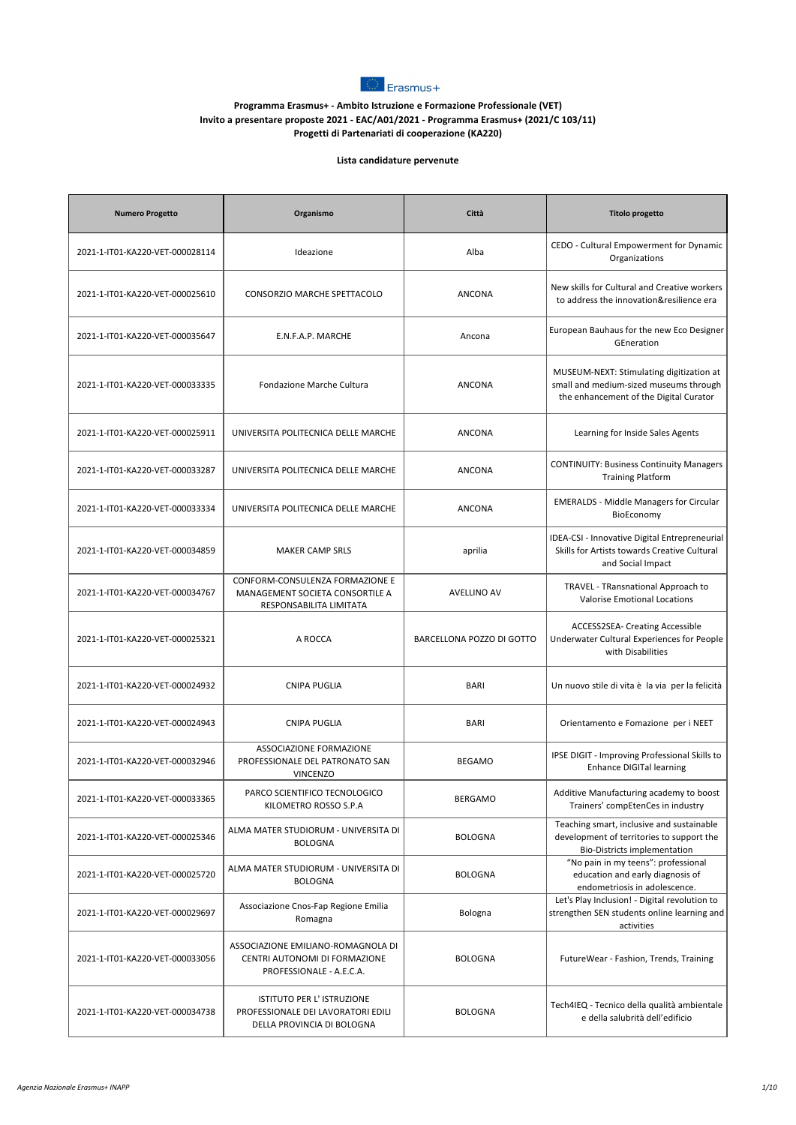

## **Programma Erasmus+ - Ambito Istruzione e Formazione Professionale (VET) Invito a presentare proposte 2021 - EAC/A01/2021 - Programma Erasmus+ (2021/C 103/11) Progetti di Partenariati di cooperazione (KA220)**

## **Lista candidature pervenute**

| <b>Numero Progetto</b>          | Organismo                                                                                       | Città                     | <b>Titolo progetto</b>                                                                                                        |
|---------------------------------|-------------------------------------------------------------------------------------------------|---------------------------|-------------------------------------------------------------------------------------------------------------------------------|
| 2021-1-IT01-KA220-VET-000028114 | Ideazione                                                                                       | Alba                      | CEDO - Cultural Empowerment for Dynamic<br>Organizations                                                                      |
| 2021-1-IT01-KA220-VET-000025610 | CONSORZIO MARCHE SPETTACOLO                                                                     | ANCONA                    | New skills for Cultural and Creative workers<br>to address the innovation&resilience era                                      |
| 2021-1-IT01-KA220-VET-000035647 | E.N.F.A.P. MARCHE                                                                               | Ancona                    | European Bauhaus for the new Eco Designer<br>GEneration                                                                       |
| 2021-1-IT01-KA220-VET-000033335 | Fondazione Marche Cultura                                                                       | <b>ANCONA</b>             | MUSEUM-NEXT: Stimulating digitization at<br>small and medium-sized museums through<br>the enhancement of the Digital Curator  |
| 2021-1-IT01-KA220-VET-000025911 | UNIVERSITA POLITECNICA DELLE MARCHE                                                             | ANCONA                    | Learning for Inside Sales Agents                                                                                              |
| 2021-1-IT01-KA220-VET-000033287 | UNIVERSITA POLITECNICA DELLE MARCHE                                                             | <b>ANCONA</b>             | <b>CONTINUITY: Business Continuity Managers</b><br><b>Training Platform</b>                                                   |
| 2021-1-IT01-KA220-VET-000033334 | UNIVERSITA POLITECNICA DELLE MARCHE                                                             | <b>ANCONA</b>             | <b>EMERALDS</b> - Middle Managers for Circular<br>BioEconomy                                                                  |
| 2021-1-IT01-KA220-VET-000034859 | <b>MAKER CAMP SRLS</b>                                                                          | aprilia                   | <b>IDEA-CSI - Innovative Digital Entrepreneurial</b><br>Skills for Artists towards Creative Cultural<br>and Social Impact     |
| 2021-1-IT01-KA220-VET-000034767 | CONFORM-CONSULENZA FORMAZIONE E<br>MANAGEMENT SOCIETA CONSORTILE A<br>RESPONSABILITA LIMITATA   | <b>AVELLINO AV</b>        | TRAVEL - TRansnational Approach to<br><b>Valorise Emotional Locations</b>                                                     |
| 2021-1-IT01-KA220-VET-000025321 | A ROCCA                                                                                         | BARCELLONA POZZO DI GOTTO | ACCESS2SEA- Creating Accessible<br>Underwater Cultural Experiences for People<br>with Disabilities                            |
| 2021-1-IT01-KA220-VET-000024932 | <b>CNIPA PUGLIA</b>                                                                             | <b>BARI</b>               | Un nuovo stile di vita è la via per la felicità                                                                               |
| 2021-1-IT01-KA220-VET-000024943 | <b>CNIPA PUGLIA</b>                                                                             | <b>BARI</b>               | Orientamento e Fomazione per i NEET                                                                                           |
| 2021-1-IT01-KA220-VET-000032946 | ASSOCIAZIONE FORMAZIONE<br>PROFESSIONALE DEL PATRONATO SAN<br><b>VINCENZO</b>                   | <b>BEGAMO</b>             | IPSE DIGIT - Improving Professional Skills to<br><b>Enhance DIGITal learning</b>                                              |
| 2021-1-IT01-KA220-VET-000033365 | PARCO SCIENTIFICO TECNOLOGICO<br>KILOMETRO ROSSO S.P.A                                          | <b>BERGAMO</b>            | Additive Manufacturing academy to boost<br>Trainers' compEtenCes in industry                                                  |
| 2021-1-IT01-KA220-VET-000025346 | ALMA MATER STUDIORUM - UNIVERSITA DI<br><b>BOLOGNA</b>                                          | <b>BOLOGNA</b>            | Teaching smart, inclusive and sustainable<br>development of territories to support the<br><b>Bio-Districts implementation</b> |
| 2021-1-IT01-KA220-VET-000025720 | ALMA MATER STUDIORUM - UNIVERSITA DI<br><b>BOLOGNA</b>                                          | <b>BOLOGNA</b>            | "No pain in my teens": professional<br>education and early diagnosis of<br>endometriosis in adolescence.                      |
| 2021-1-IT01-KA220-VET-000029697 | Associazione Cnos-Fap Regione Emilia<br>Romagna                                                 | Bologna                   | Let's Play Inclusion! - Digital revolution to<br>strengthen SEN students online learning and<br>activities                    |
| 2021-1-IT01-KA220-VET-000033056 | ASSOCIAZIONE EMILIANO-ROMAGNOLA DI<br>CENTRI AUTONOMI DI FORMAZIONE<br>PROFESSIONALE - A.E.C.A. | <b>BOLOGNA</b>            | FutureWear - Fashion, Trends, Training                                                                                        |
| 2021-1-IT01-KA220-VET-000034738 | ISTITUTO PER L' ISTRUZIONE<br>PROFESSIONALE DEI LAVORATORI EDILI<br>DELLA PROVINCIA DI BOLOGNA  | <b>BOLOGNA</b>            | Tech4IEQ - Tecnico della qualità ambientale<br>e della salubrità dell'edificio                                                |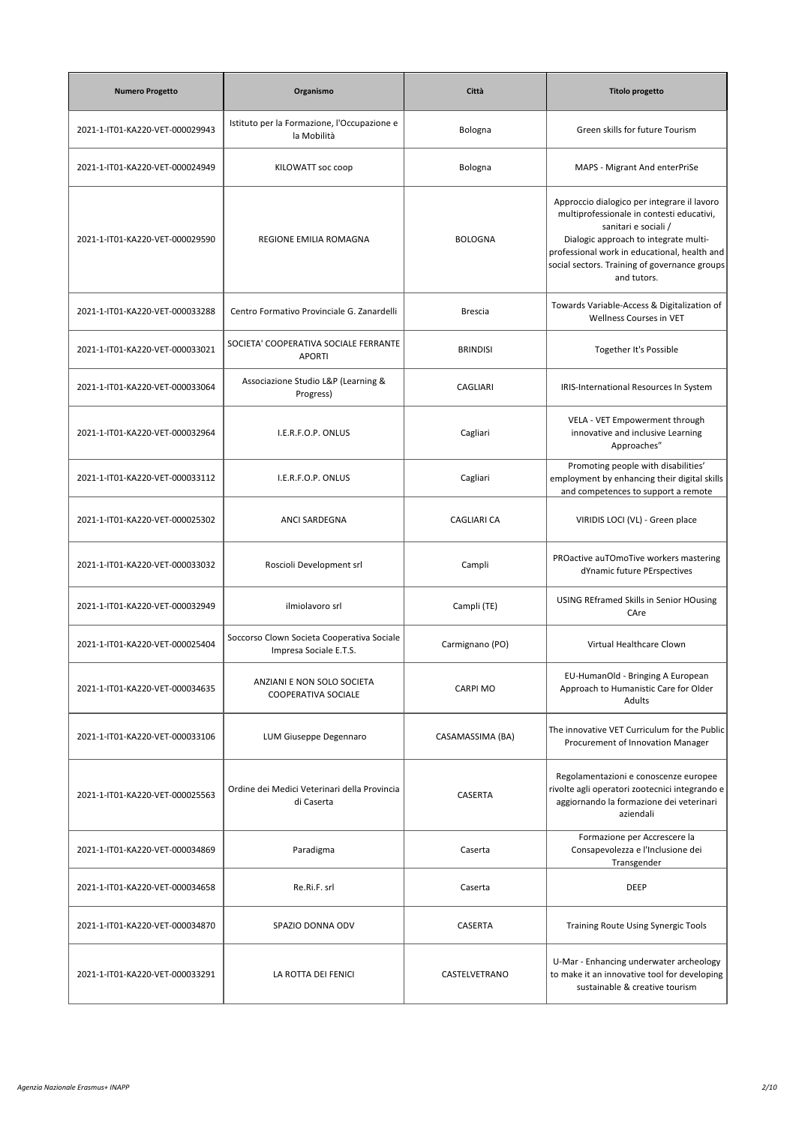| <b>Numero Progetto</b>          | Organismo                                                            | Città              | <b>Titolo progetto</b>                                                                                                                                                                                                                                                    |
|---------------------------------|----------------------------------------------------------------------|--------------------|---------------------------------------------------------------------------------------------------------------------------------------------------------------------------------------------------------------------------------------------------------------------------|
| 2021-1-IT01-KA220-VET-000029943 | Istituto per la Formazione, l'Occupazione e<br>la Mobilità           | Bologna            | Green skills for future Tourism                                                                                                                                                                                                                                           |
| 2021-1-IT01-KA220-VET-000024949 | KILOWATT soc coop                                                    | Bologna            | MAPS - Migrant And enterPriSe                                                                                                                                                                                                                                             |
| 2021-1-IT01-KA220-VET-000029590 | REGIONE EMILIA ROMAGNA                                               | <b>BOLOGNA</b>     | Approccio dialogico per integrare il lavoro<br>multiprofessionale in contesti educativi,<br>sanitari e sociali /<br>Dialogic approach to integrate multi-<br>professional work in educational, health and<br>social sectors. Training of governance groups<br>and tutors. |
| 2021-1-IT01-KA220-VET-000033288 | Centro Formativo Provinciale G. Zanardelli                           | <b>Brescia</b>     | Towards Variable-Access & Digitalization of<br>Wellness Courses in VET                                                                                                                                                                                                    |
| 2021-1-IT01-KA220-VET-000033021 | SOCIETA' COOPERATIVA SOCIALE FERRANTE<br><b>APORTI</b>               | <b>BRINDISI</b>    | Together It's Possible                                                                                                                                                                                                                                                    |
| 2021-1-IT01-KA220-VET-000033064 | Associazione Studio L&P (Learning &<br>Progress)                     | CAGLIARI           | IRIS-International Resources In System                                                                                                                                                                                                                                    |
| 2021-1-IT01-KA220-VET-000032964 | I.E.R.F.O.P. ONLUS                                                   | Cagliari           | VELA - VET Empowerment through<br>innovative and inclusive Learning<br>Approaches"                                                                                                                                                                                        |
| 2021-1-IT01-KA220-VET-000033112 | I.E.R.F.O.P. ONLUS                                                   | Cagliari           | Promoting people with disabilities'<br>employment by enhancing their digital skills<br>and competences to support a remote                                                                                                                                                |
| 2021-1-IT01-KA220-VET-000025302 | ANCI SARDEGNA                                                        | <b>CAGLIARI CA</b> | VIRIDIS LOCI (VL) - Green place                                                                                                                                                                                                                                           |
| 2021-1-IT01-KA220-VET-000033032 | Roscioli Development srl                                             | Campli             | PROactive auTOmoTive workers mastering<br>dYnamic future PErspectives                                                                                                                                                                                                     |
| 2021-1-IT01-KA220-VET-000032949 | ilmiolavoro srl                                                      | Campli (TE)        | USING REframed Skills in Senior HOusing<br>CAre                                                                                                                                                                                                                           |
| 2021-1-IT01-KA220-VET-000025404 | Soccorso Clown Societa Cooperativa Sociale<br>Impresa Sociale E.T.S. | Carmignano (PO)    | Virtual Healthcare Clown                                                                                                                                                                                                                                                  |
| 2021-1-IT01-KA220-VET-000034635 | ANZIANI E NON SOLO SOCIETA<br><b>COOPERATIVA SOCIALE</b>             | <b>CARPI MO</b>    | EU-HumanOld - Bringing A European<br>Approach to Humanistic Care for Older<br>Adults                                                                                                                                                                                      |
| 2021-1-IT01-KA220-VET-000033106 | LUM Giuseppe Degennaro                                               | CASAMASSIMA (BA)   | The innovative VET Curriculum for the Public<br>Procurement of Innovation Manager                                                                                                                                                                                         |
| 2021-1-IT01-KA220-VET-000025563 | Ordine dei Medici Veterinari della Provincia<br>di Caserta           | CASERTA            | Regolamentazioni e conoscenze europee<br>rivolte agli operatori zootecnici integrando e<br>aggiornando la formazione dei veterinari<br>aziendali                                                                                                                          |
| 2021-1-IT01-KA220-VET-000034869 | Paradigma                                                            | Caserta            | Formazione per Accrescere la<br>Consapevolezza e l'Inclusione dei<br>Transgender                                                                                                                                                                                          |
| 2021-1-IT01-KA220-VET-000034658 | Re.Ri.F. srl                                                         | Caserta            | DEEP                                                                                                                                                                                                                                                                      |
| 2021-1-IT01-KA220-VET-000034870 | SPAZIO DONNA ODV                                                     | CASERTA            | Training Route Using Synergic Tools                                                                                                                                                                                                                                       |
| 2021-1-IT01-KA220-VET-000033291 | LA ROTTA DEI FENICI                                                  | CASTELVETRANO      | U-Mar - Enhancing underwater archeology<br>to make it an innovative tool for developing<br>sustainable & creative tourism                                                                                                                                                 |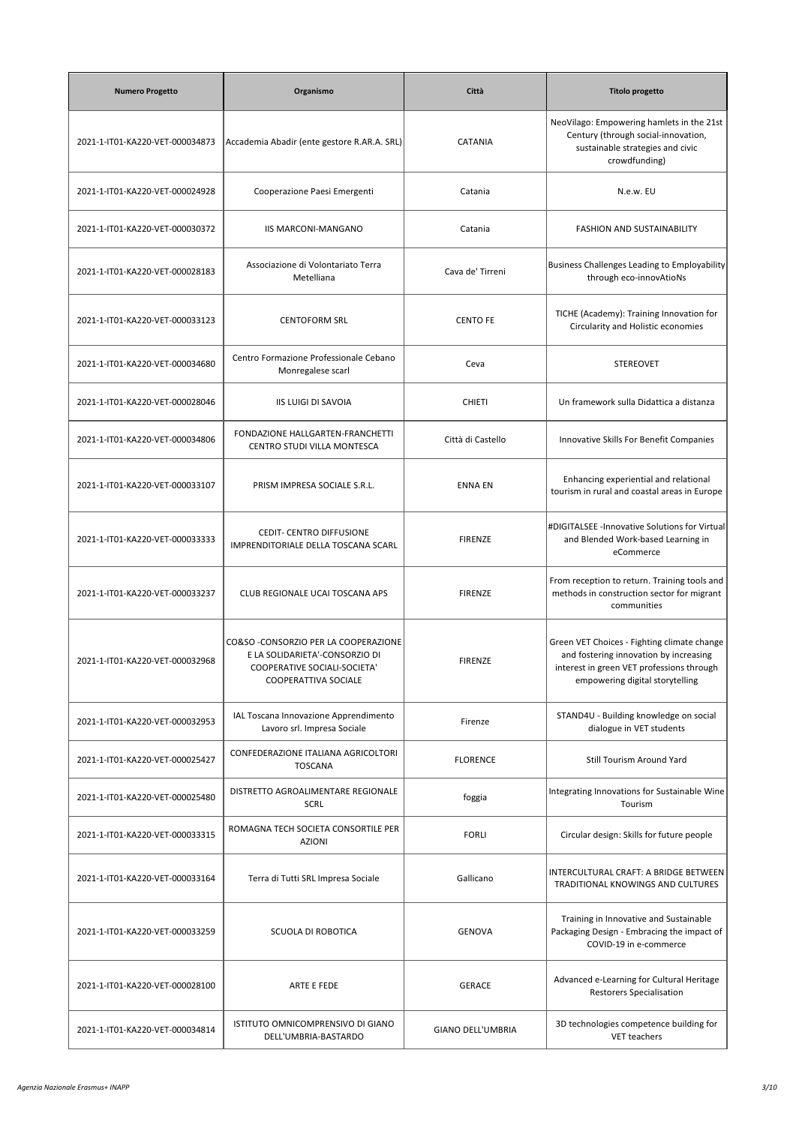| <b>Numero Progetto</b>          | Organismo                                                                                                                             | Città             | <b>Titolo progetto</b>                                                                                                                                                |
|---------------------------------|---------------------------------------------------------------------------------------------------------------------------------------|-------------------|-----------------------------------------------------------------------------------------------------------------------------------------------------------------------|
| 2021-1-IT01-KA220-VET-000034873 | Accademia Abadir (ente gestore R.AR.A. SRL)                                                                                           | CATANIA           | NeoVilago: Empowering hamlets in the 21st<br>Century (through social-innovation,<br>sustainable strategies and civic<br>crowdfunding)                                 |
| 2021-1-IT01-KA220-VET-000024928 | Cooperazione Paesi Emergenti                                                                                                          | Catania           | N.e.w. EU                                                                                                                                                             |
| 2021-1-IT01-KA220-VET-000030372 | <b>IIS MARCONI-MANGANO</b>                                                                                                            | Catania           | FASHION AND SUSTAINABILITY                                                                                                                                            |
| 2021-1-IT01-KA220-VET-000028183 | Associazione di Volontariato Terra<br>Metelliana                                                                                      | Cava de' Tirreni  | <b>Business Challenges Leading to Employability</b><br>through eco-innovAtioNs                                                                                        |
| 2021-1-IT01-KA220-VET-000033123 | <b>CENTOFORM SRL</b>                                                                                                                  | <b>CENTO FE</b>   | TICHE (Academy): Training Innovation for<br>Circularity and Holistic economies                                                                                        |
| 2021-1-IT01-KA220-VET-000034680 | Centro Formazione Professionale Cebano<br>Monregalese scarl                                                                           | Ceva              | <b>STEREOVET</b>                                                                                                                                                      |
| 2021-1-IT01-KA220-VET-000028046 | <b>IIS LUIGI DI SAVOIA</b>                                                                                                            | <b>CHIETI</b>     | Un framework sulla Didattica a distanza                                                                                                                               |
| 2021-1-IT01-KA220-VET-000034806 | FONDAZIONE HALLGARTEN-FRANCHETTI<br>CENTRO STUDI VILLA MONTESCA                                                                       | Città di Castello | Innovative Skills For Benefit Companies                                                                                                                               |
| 2021-1-IT01-KA220-VET-000033107 | PRISM IMPRESA SOCIALE S.R.L.                                                                                                          | <b>ENNA EN</b>    | Enhancing experiential and relational<br>tourism in rural and coastal areas in Europe                                                                                 |
| 2021-1-IT01-KA220-VET-000033333 | CEDIT- CENTRO DIFFUSIONE<br>IMPRENDITORIALE DELLA TOSCANA SCARL                                                                       | <b>FIRENZE</b>    | #DIGITALSEE -Innovative Solutions for Virtual<br>and Blended Work-based Learning in<br>eCommerce                                                                      |
| 2021-1-IT01-KA220-VET-000033237 | CLUB REGIONALE UCAI TOSCANA APS                                                                                                       | <b>FIRENZE</b>    | From reception to return. Training tools and<br>methods in construction sector for migrant<br>communities                                                             |
| 2021-1-IT01-KA220-VET-000032968 | CO&SO -CONSORZIO PER LA COOPERAZIONE<br>E LA SOLIDARIETA'-CONSORZIO DI<br>COOPERATIVE SOCIALI-SOCIETA'<br><b>COOPERATTIVA SOCIALE</b> | <b>FIRENZE</b>    | Green VET Choices - Fighting climate change<br>and fostering innovation by increasing<br>interest in green VET professions through<br>empowering digital storytelling |
| 2021-1-IT01-KA220-VET-000032953 | IAL Toscana Innovazione Apprendimento<br>Lavoro srl. Impresa Sociale                                                                  | Firenze           | STAND4U - Building knowledge on social<br>dialogue in VET students                                                                                                    |
| 2021-1-IT01-KA220-VET-000025427 | CONFEDERAZIONE ITALIANA AGRICOLTORI<br><b>TOSCANA</b>                                                                                 | <b>FLORENCE</b>   | Still Tourism Around Yard                                                                                                                                             |
| 2021-1-IT01-KA220-VET-000025480 | DISTRETTO AGROALIMENTARE REGIONALE<br><b>SCRL</b>                                                                                     | foggia            | Integrating Innovations for Sustainable Wine<br>Tourism                                                                                                               |
| 2021-1-IT01-KA220-VET-000033315 | ROMAGNA TECH SOCIETA CONSORTILE PER<br><b>AZIONI</b>                                                                                  | <b>FORLI</b>      | Circular design: Skills for future people                                                                                                                             |
| 2021-1-IT01-KA220-VET-000033164 | Terra di Tutti SRL Impresa Sociale                                                                                                    | Gallicano         | INTERCULTURAL CRAFT: A BRIDGE BETWEEN<br>TRADITIONAL KNOWINGS AND CULTURES                                                                                            |
| 2021-1-IT01-KA220-VET-000033259 | SCUOLA DI ROBOTICA                                                                                                                    | <b>GENOVA</b>     | Training in Innovative and Sustainable<br>Packaging Design - Embracing the impact of<br>COVID-19 in e-commerce                                                        |
| 2021-1-IT01-KA220-VET-000028100 | ARTE E FEDE                                                                                                                           | <b>GERACE</b>     | Advanced e-Learning for Cultural Heritage<br><b>Restorers Specialisation</b>                                                                                          |
| 2021-1-IT01-KA220-VET-000034814 | ISTITUTO OMNICOMPRENSIVO DI GIANO<br>DELL'UMBRIA-BASTARDO                                                                             | GIANO DELL'UMBRIA | 3D technologies competence building for<br>VET teachers                                                                                                               |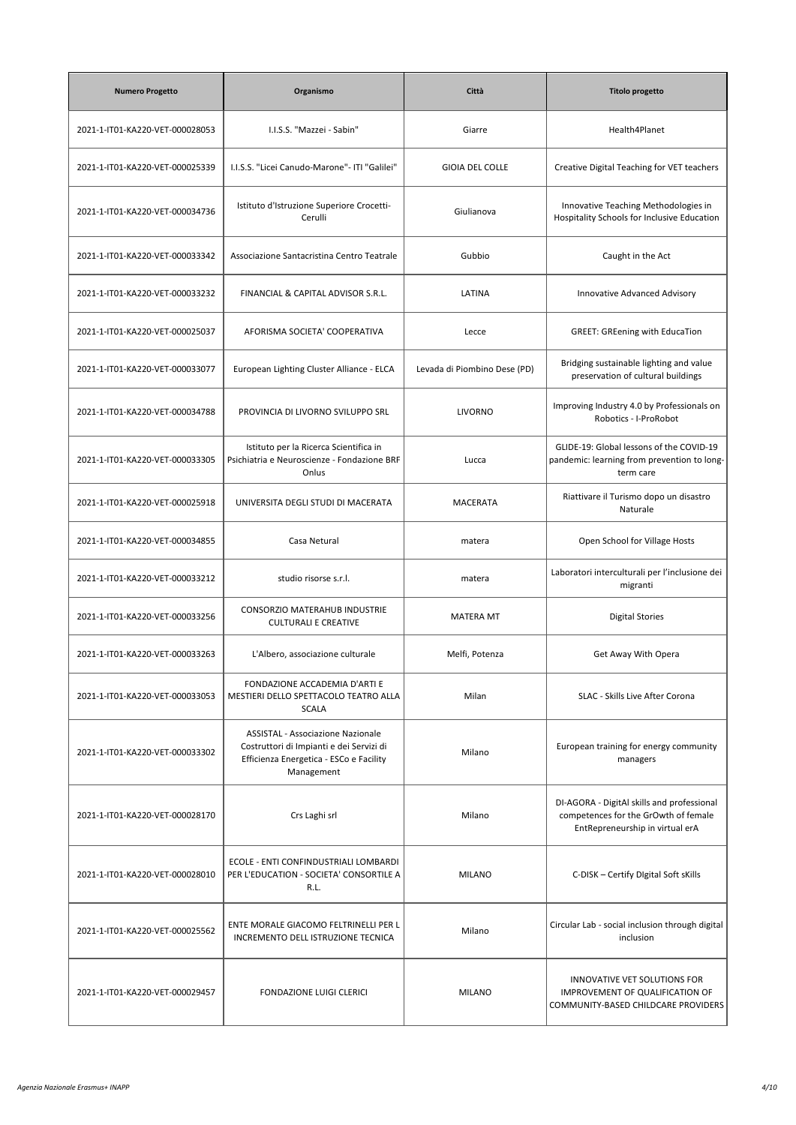| <b>Numero Progetto</b>          | Organismo                                                                                                                              | Città                        | <b>Titolo progetto</b>                                                                                                |
|---------------------------------|----------------------------------------------------------------------------------------------------------------------------------------|------------------------------|-----------------------------------------------------------------------------------------------------------------------|
| 2021-1-IT01-KA220-VET-000028053 | I.I.S.S. "Mazzei - Sabin"                                                                                                              | Giarre                       | Health4Planet                                                                                                         |
| 2021-1-IT01-KA220-VET-000025339 | I.I.S.S. "Licei Canudo-Marone"- ITI "Galilei"                                                                                          | <b>GIOIA DEL COLLE</b>       | Creative Digital Teaching for VET teachers                                                                            |
| 2021-1-IT01-KA220-VET-000034736 | Istituto d'Istruzione Superiore Crocetti-<br>Cerulli                                                                                   | Giulianova                   | Innovative Teaching Methodologies in<br>Hospitality Schools for Inclusive Education                                   |
| 2021-1-IT01-KA220-VET-000033342 | Associazione Santacristina Centro Teatrale                                                                                             | Gubbio                       | Caught in the Act                                                                                                     |
| 2021-1-IT01-KA220-VET-000033232 | FINANCIAL & CAPITAL ADVISOR S.R.L.                                                                                                     | LATINA                       | Innovative Advanced Advisory                                                                                          |
| 2021-1-IT01-KA220-VET-000025037 | AFORISMA SOCIETA' COOPERATIVA                                                                                                          | Lecce                        | <b>GREET: GREening with EducaTion</b>                                                                                 |
| 2021-1-IT01-KA220-VET-000033077 | European Lighting Cluster Alliance - ELCA                                                                                              | Levada di Piombino Dese (PD) | Bridging sustainable lighting and value<br>preservation of cultural buildings                                         |
| 2021-1-IT01-KA220-VET-000034788 | PROVINCIA DI LIVORNO SVILUPPO SRL                                                                                                      | <b>LIVORNO</b>               | Improving Industry 4.0 by Professionals on<br>Robotics - I-ProRobot                                                   |
| 2021-1-IT01-KA220-VET-000033305 | Istituto per la Ricerca Scientifica in<br>Psichiatria e Neuroscienze - Fondazione BRF<br>Onlus                                         | Lucca                        | GLIDE-19: Global lessons of the COVID-19<br>pandemic: learning from prevention to long-<br>term care                  |
| 2021-1-IT01-KA220-VET-000025918 | UNIVERSITA DEGLI STUDI DI MACERATA                                                                                                     | MACERATA                     | Riattivare il Turismo dopo un disastro<br>Naturale                                                                    |
| 2021-1-IT01-KA220-VET-000034855 | Casa Netural                                                                                                                           | matera                       | Open School for Village Hosts                                                                                         |
| 2021-1-IT01-KA220-VET-000033212 | studio risorse s.r.l.                                                                                                                  | matera                       | Laboratori interculturali per l'inclusione dei<br>migranti                                                            |
| 2021-1-IT01-KA220-VET-000033256 | CONSORZIO MATERAHUB INDUSTRIE<br><b>CULTURALI E CREATIVE</b>                                                                           | <b>MATERA MT</b>             | <b>Digital Stories</b>                                                                                                |
| 2021-1-IT01-KA220-VET-000033263 | L'Albero, associazione culturale                                                                                                       | Melfi, Potenza               | Get Away With Opera                                                                                                   |
| 2021-1-IT01-KA220-VET-000033053 | FONDAZIONE ACCADEMIA D'ARTI E<br>MESTIERI DELLO SPETTACOLO TEATRO ALLA<br><b>SCALA</b>                                                 | Milan                        | SLAC - Skills Live After Corona                                                                                       |
| 2021-1-IT01-KA220-VET-000033302 | ASSISTAL - Associazione Nazionale<br>Costruttori di Impianti e dei Servizi di<br>Efficienza Energetica - ESCo e Facility<br>Management | Milano                       | European training for energy community<br>managers                                                                    |
| 2021-1-IT01-KA220-VET-000028170 | Crs Laghi srl                                                                                                                          | Milano                       | DI-AGORA - DigitAl skills and professional<br>competences for the GrOwth of female<br>EntRepreneurship in virtual erA |
| 2021-1-IT01-KA220-VET-000028010 | ECOLE - ENTI CONFINDUSTRIALI LOMBARDI<br>PER L'EDUCATION - SOCIETA' CONSORTILE A<br>R.L.                                               | <b>MILANO</b>                | C-DISK - Certify Digital Soft sKills                                                                                  |
| 2021-1-IT01-KA220-VET-000025562 | ENTE MORALE GIACOMO FELTRINELLI PER L<br>INCREMENTO DELL ISTRUZIONE TECNICA                                                            | Milano                       | Circular Lab - social inclusion through digital<br>inclusion                                                          |
| 2021-1-IT01-KA220-VET-000029457 | <b>FONDAZIONE LUIGI CLERICI</b>                                                                                                        | <b>MILANO</b>                | INNOVATIVE VET SOLUTIONS FOR<br>IMPROVEMENT OF QUALIFICATION OF<br>COMMUNITY-BASED CHILDCARE PROVIDERS                |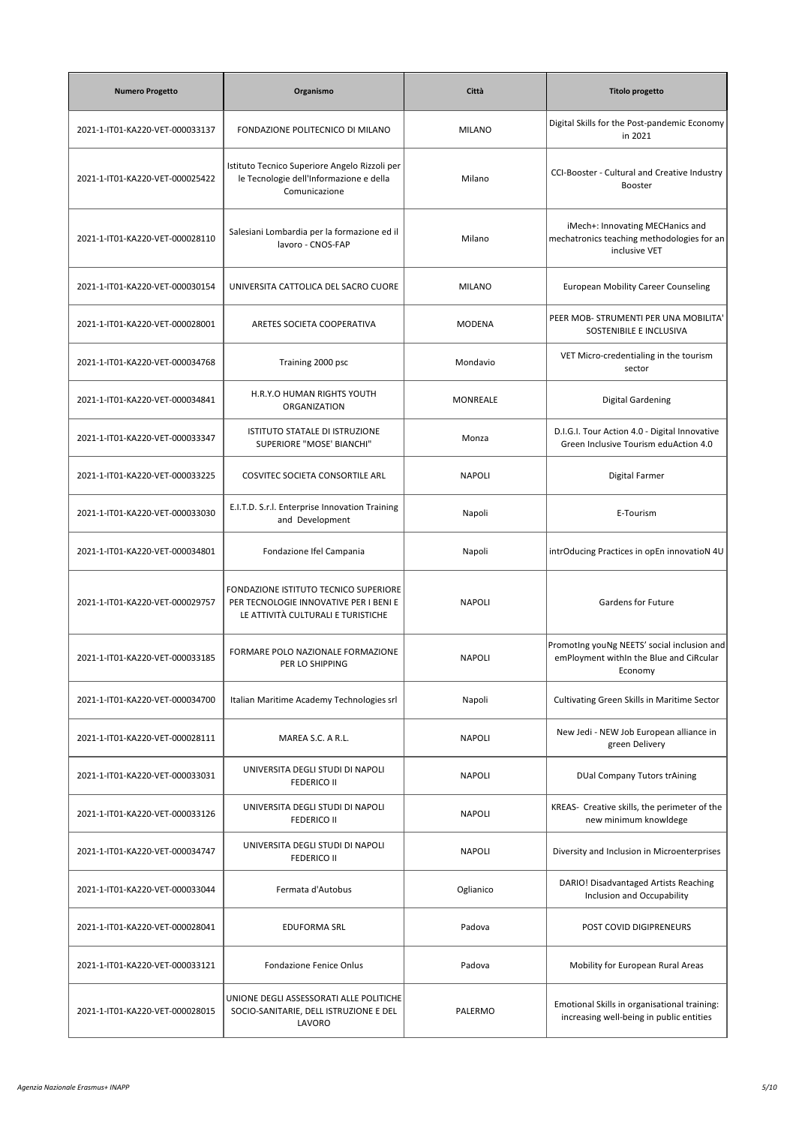| <b>Numero Progetto</b>          | Organismo                                                                                                                    | Città         | <b>Titolo progetto</b>                                                                            |
|---------------------------------|------------------------------------------------------------------------------------------------------------------------------|---------------|---------------------------------------------------------------------------------------------------|
| 2021-1-IT01-KA220-VET-000033137 | FONDAZIONE POLITECNICO DI MILANO                                                                                             | <b>MILANO</b> | Digital Skills for the Post-pandemic Economy<br>in 2021                                           |
| 2021-1-IT01-KA220-VET-000025422 | Istituto Tecnico Superiore Angelo Rizzoli per<br>le Tecnologie dell'Informazione e della<br>Comunicazione                    | Milano        | CCI-Booster - Cultural and Creative Industry<br><b>Booster</b>                                    |
| 2021-1-IT01-KA220-VET-000028110 | Salesiani Lombardia per la formazione ed il<br>lavoro - CNOS-FAP                                                             | Milano        | iMech+: Innovating MECHanics and<br>mechatronics teaching methodologies for an<br>inclusive VET   |
| 2021-1-IT01-KA220-VET-000030154 | UNIVERSITA CATTOLICA DEL SACRO CUORE                                                                                         | <b>MILANO</b> | <b>European Mobility Career Counseling</b>                                                        |
| 2021-1-IT01-KA220-VET-000028001 | ARETES SOCIETA COOPERATIVA                                                                                                   | <b>MODENA</b> | PEER MOB- STRUMENTI PER UNA MOBILITA'<br>SOSTENIBILE E INCLUSIVA                                  |
| 2021-1-IT01-KA220-VET-000034768 | Training 2000 psc                                                                                                            | Mondavio      | VET Micro-credentialing in the tourism<br>sector                                                  |
| 2021-1-IT01-KA220-VET-000034841 | H.R.Y.O HUMAN RIGHTS YOUTH<br>ORGANIZATION                                                                                   | MONREALE      | <b>Digital Gardening</b>                                                                          |
| 2021-1-IT01-KA220-VET-000033347 | ISTITUTO STATALE DI ISTRUZIONE<br>SUPERIORE "MOSE' BIANCHI"                                                                  | Monza         | D.I.G.I. Tour Action 4.0 - Digital Innovative<br>Green Inclusive Tourism eduAction 4.0            |
| 2021-1-IT01-KA220-VET-000033225 | COSVITEC SOCIETA CONSORTILE ARL                                                                                              | <b>NAPOLI</b> | Digital Farmer                                                                                    |
| 2021-1-IT01-KA220-VET-000033030 | E.I.T.D. S.r.l. Enterprise Innovation Training<br>and Development                                                            | Napoli        | E-Tourism                                                                                         |
| 2021-1-IT01-KA220-VET-000034801 | Fondazione Ifel Campania                                                                                                     | Napoli        | intrOducing Practices in opEn innovatioN 4U                                                       |
| 2021-1-IT01-KA220-VET-000029757 | <b>FONDAZIONE ISTITUTO TECNICO SUPERIORE</b><br>PER TECNOLOGIE INNOVATIVE PER I BENI E<br>LE ATTIVITÀ CULTURALI E TURISTICHE | <b>NAPOLI</b> | Gardens for Future                                                                                |
| 2021-1-IT01-KA220-VET-000033185 | FORMARE POLO NAZIONALE FORMAZIONE<br>PER LO SHIPPING                                                                         | <b>NAPOLI</b> | Promoting youNg NEETS' social inclusion and<br>emPloyment within the Blue and CiRcular<br>Economy |
| 2021-1-IT01-KA220-VET-000034700 | Italian Maritime Academy Technologies srl                                                                                    | Napoli        | Cultivating Green Skills in Maritime Sector                                                       |
| 2021-1-IT01-KA220-VET-000028111 | MAREA S.C. A R.L.                                                                                                            | <b>NAPOLI</b> | New Jedi - NEW Job European alliance in<br>green Delivery                                         |
| 2021-1-IT01-KA220-VET-000033031 | UNIVERSITA DEGLI STUDI DI NAPOLI<br><b>FEDERICO II</b>                                                                       | <b>NAPOLI</b> | <b>DUal Company Tutors trAining</b>                                                               |
| 2021-1-IT01-KA220-VET-000033126 | UNIVERSITA DEGLI STUDI DI NAPOLI<br><b>FEDERICO II</b>                                                                       | <b>NAPOLI</b> | KREAS- Creative skills, the perimeter of the<br>new minimum knowldege                             |
| 2021-1-IT01-KA220-VET-000034747 | UNIVERSITA DEGLI STUDI DI NAPOLI<br><b>FEDERICO II</b>                                                                       | <b>NAPOLI</b> | Diversity and Inclusion in Microenterprises                                                       |
| 2021-1-IT01-KA220-VET-000033044 | Fermata d'Autobus                                                                                                            | Oglianico     | DARIO! Disadvantaged Artists Reaching<br>Inclusion and Occupability                               |
| 2021-1-IT01-KA220-VET-000028041 | EDUFORMA SRL                                                                                                                 | Padova        | POST COVID DIGIPRENEURS                                                                           |
| 2021-1-IT01-KA220-VET-000033121 | Fondazione Fenice Onlus                                                                                                      | Padova        | Mobility for European Rural Areas                                                                 |
| 2021-1-IT01-KA220-VET-000028015 | UNIONE DEGLI ASSESSORATI ALLE POLITICHE<br>SOCIO-SANITARIE, DELL ISTRUZIONE E DEL<br>LAVORO                                  | PALERMO       | Emotional Skills in organisational training:<br>increasing well-being in public entities          |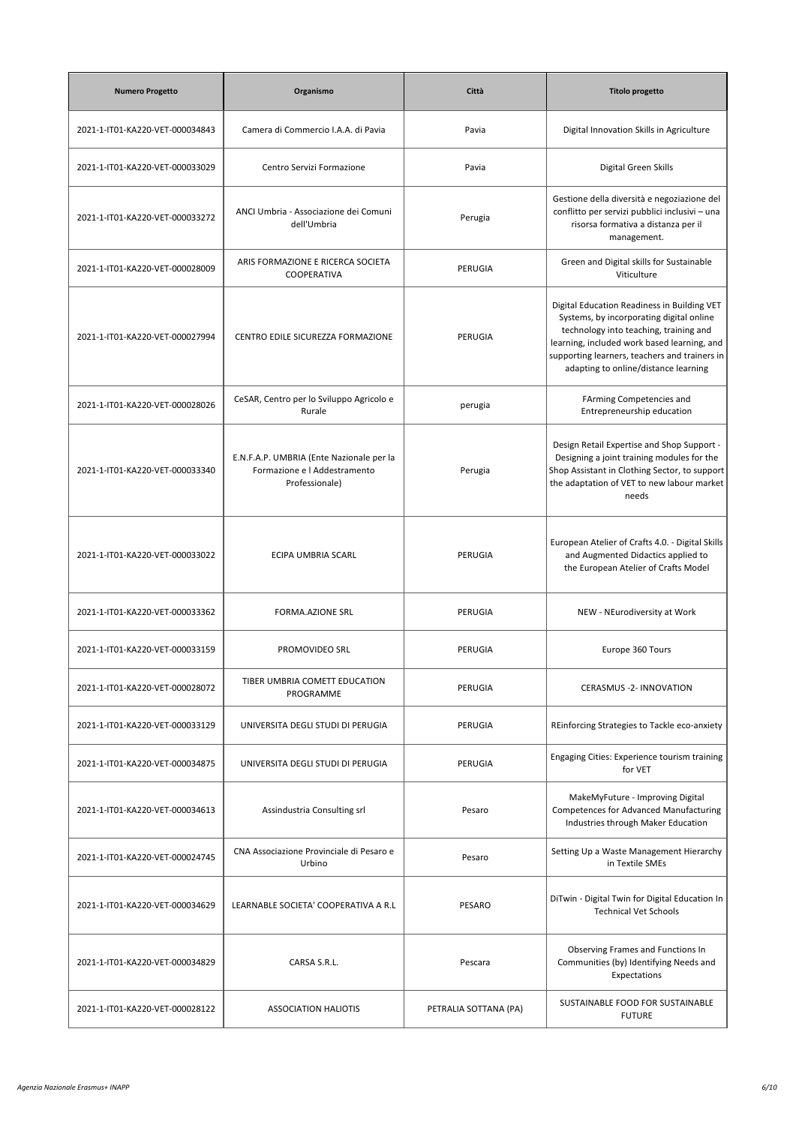| <b>Numero Progetto</b>          | Organismo                                                                                  | Città                 | <b>Titolo progetto</b>                                                                                                                                                                                                                                                    |
|---------------------------------|--------------------------------------------------------------------------------------------|-----------------------|---------------------------------------------------------------------------------------------------------------------------------------------------------------------------------------------------------------------------------------------------------------------------|
| 2021-1-IT01-KA220-VET-000034843 | Camera di Commercio I.A.A. di Pavia                                                        | Pavia                 | Digital Innovation Skills in Agriculture                                                                                                                                                                                                                                  |
| 2021-1-IT01-KA220-VET-000033029 | Centro Servizi Formazione                                                                  | Pavia                 | Digital Green Skills                                                                                                                                                                                                                                                      |
| 2021-1-IT01-KA220-VET-000033272 | ANCI Umbria - Associazione dei Comuni<br>dell'Umbria                                       | Perugia               | Gestione della diversità e negoziazione del<br>conflitto per servizi pubblici inclusivi - una<br>risorsa formativa a distanza per il<br>management.                                                                                                                       |
| 2021-1-IT01-KA220-VET-000028009 | ARIS FORMAZIONE E RICERCA SOCIETA<br>COOPERATIVA                                           | PERUGIA               | Green and Digital skills for Sustainable<br>Viticulture                                                                                                                                                                                                                   |
| 2021-1-IT01-KA220-VET-000027994 | CENTRO EDILE SICUREZZA FORMAZIONE                                                          | PERUGIA               | Digital Education Readiness in Building VET<br>Systems, by incorporating digital online<br>technology into teaching, training and<br>learning, included work based learning, and<br>supporting learners, teachers and trainers in<br>adapting to online/distance learning |
| 2021-1-IT01-KA220-VET-000028026 | CeSAR, Centro per lo Sviluppo Agricolo e<br>Rurale                                         | perugia               | FArming Competencies and<br>Entrepreneurship education                                                                                                                                                                                                                    |
| 2021-1-IT01-KA220-VET-000033340 | E.N.F.A.P. UMBRIA (Ente Nazionale per la<br>Formazione e I Addestramento<br>Professionale) | Perugia               | Design Retail Expertise and Shop Support -<br>Designing a joint training modules for the<br>Shop Assistant in Clothing Sector, to support<br>the adaptation of VET to new labour market<br>needs                                                                          |
| 2021-1-IT01-KA220-VET-000033022 | ECIPA UMBRIA SCARL                                                                         | PERUGIA               | European Atelier of Crafts 4.0. - Digital Skills<br>and Augmented Didactics applied to<br>the European Atelier of Crafts Model                                                                                                                                            |
| 2021-1-IT01-KA220-VET-000033362 | <b>FORMA.AZIONE SRL</b>                                                                    | PERUGIA               | NEW - NEurodiversity at Work                                                                                                                                                                                                                                              |
| 2021-1-IT01-KA220-VET-000033159 | PROMOVIDEO SRL                                                                             | PERUGIA               | Europe 360 Tours                                                                                                                                                                                                                                                          |
| 2021-1-IT01-KA220-VET-000028072 | TIBER UMBRIA COMETT EDUCATION<br>PROGRAMME                                                 | PERUGIA               | CERASMUS -2- INNOVATION                                                                                                                                                                                                                                                   |
| 2021-1-IT01-KA220-VET-000033129 | UNIVERSITA DEGLI STUDI DI PERUGIA                                                          | PERUGIA               | REinforcing Strategies to Tackle eco-anxiety                                                                                                                                                                                                                              |
| 2021-1-IT01-KA220-VET-000034875 | UNIVERSITA DEGLI STUDI DI PERUGIA                                                          | PERUGIA               | Engaging Cities: Experience tourism training<br>for VET                                                                                                                                                                                                                   |
| 2021-1-IT01-KA220-VET-000034613 | Assindustria Consulting srl                                                                | Pesaro                | MakeMyFuture - Improving Digital<br>Competences for Advanced Manufacturing<br>Industries through Maker Education                                                                                                                                                          |
| 2021-1-IT01-KA220-VET-000024745 | CNA Associazione Provinciale di Pesaro e<br>Urbino                                         | Pesaro                | Setting Up a Waste Management Hierarchy<br>in Textile SMEs                                                                                                                                                                                                                |
| 2021-1-IT01-KA220-VET-000034629 | LEARNABLE SOCIETA' COOPERATIVA A R.L                                                       | PESARO                | DiTwin - Digital Twin for Digital Education In<br><b>Technical Vet Schools</b>                                                                                                                                                                                            |
| 2021-1-IT01-KA220-VET-000034829 | CARSA S.R.L.                                                                               | Pescara               | Observing Frames and Functions In<br>Communities (by) Identifying Needs and<br>Expectations                                                                                                                                                                               |
| 2021-1-IT01-KA220-VET-000028122 | <b>ASSOCIATION HALIOTIS</b>                                                                | PETRALIA SOTTANA (PA) | SUSTAINABLE FOOD FOR SUSTAINABLE<br><b>FUTURE</b>                                                                                                                                                                                                                         |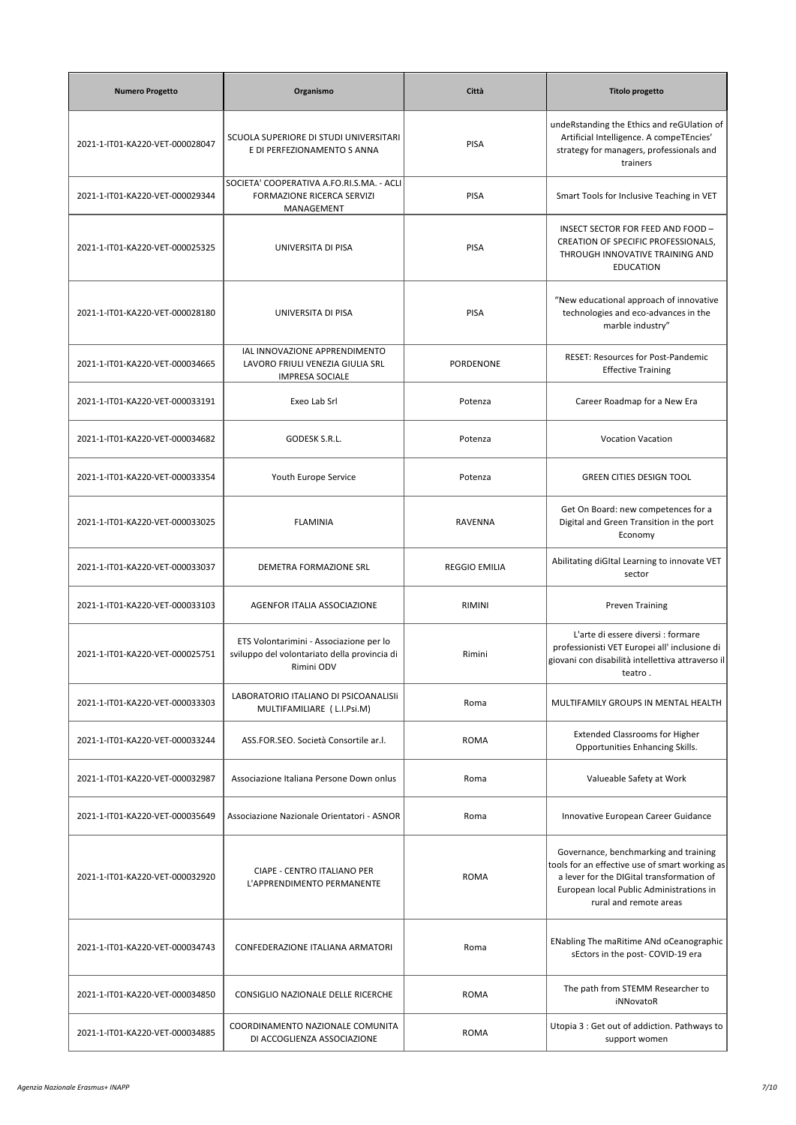| <b>Numero Progetto</b>          | Organismo                                                                                             | Città                | <b>Titolo progetto</b>                                                                                                                                                                                     |
|---------------------------------|-------------------------------------------------------------------------------------------------------|----------------------|------------------------------------------------------------------------------------------------------------------------------------------------------------------------------------------------------------|
| 2021-1-IT01-KA220-VET-000028047 | SCUOLA SUPERIORE DI STUDI UNIVERSITARI<br>E DI PERFEZIONAMENTO S ANNA                                 | <b>PISA</b>          | undeRstanding the Ethics and reGUlation of<br>Artificial Intelligence. A compeTEncies'<br>strategy for managers, professionals and<br>trainers                                                             |
| 2021-1-IT01-KA220-VET-000029344 | SOCIETA' COOPERATIVA A.FO.RI.S.MA. - ACLI<br>FORMAZIONE RICERCA SERVIZI<br>MANAGEMENT                 | <b>PISA</b>          | Smart Tools for Inclusive Teaching in VET                                                                                                                                                                  |
| 2021-1-IT01-KA220-VET-000025325 | UNIVERSITA DI PISA                                                                                    | <b>PISA</b>          | INSECT SECTOR FOR FEED AND FOOD -<br>CREATION OF SPECIFIC PROFESSIONALS,<br>THROUGH INNOVATIVE TRAINING AND<br><b>EDUCATION</b>                                                                            |
| 2021-1-IT01-KA220-VET-000028180 | UNIVERSITA DI PISA                                                                                    | <b>PISA</b>          | "New educational approach of innovative<br>technologies and eco-advances in the<br>marble industry"                                                                                                        |
| 2021-1-IT01-KA220-VET-000034665 | IAL INNOVAZIONE APPRENDIMENTO<br>LAVORO FRIULI VENEZIA GIULIA SRL<br><b>IMPRESA SOCIALE</b>           | <b>PORDENONE</b>     | <b>RESET: Resources for Post-Pandemic</b><br><b>Effective Training</b>                                                                                                                                     |
| 2021-1-IT01-KA220-VET-000033191 | Exeo Lab Srl                                                                                          | Potenza              | Career Roadmap for a New Era                                                                                                                                                                               |
| 2021-1-IT01-KA220-VET-000034682 | GODESK S.R.L.                                                                                         | Potenza              | <b>Vocation Vacation</b>                                                                                                                                                                                   |
| 2021-1-IT01-KA220-VET-000033354 | Youth Europe Service                                                                                  | Potenza              | <b>GREEN CITIES DESIGN TOOL</b>                                                                                                                                                                            |
| 2021-1-IT01-KA220-VET-000033025 | <b>FLAMINIA</b>                                                                                       | RAVENNA              | Get On Board: new competences for a<br>Digital and Green Transition in the port<br>Economy                                                                                                                 |
| 2021-1-IT01-KA220-VET-000033037 | DEMETRA FORMAZIONE SRL                                                                                | <b>REGGIO EMILIA</b> | Abilitating diGItal Learning to innovate VET<br>sector                                                                                                                                                     |
| 2021-1-IT01-KA220-VET-000033103 | <b>AGENFOR ITALIA ASSOCIAZIONE</b>                                                                    | RIMINI               | <b>Preven Training</b>                                                                                                                                                                                     |
| 2021-1-IT01-KA220-VET-000025751 | ETS Volontarimini - Associazione per lo<br>sviluppo del volontariato della provincia di<br>Rimini ODV | Rimini               | L'arte di essere diversi : formare<br>professionisti VET Europei all' inclusione di<br>giovani con disabilità intellettiva attraverso il<br>teatro.                                                        |
| 2021-1-IT01-KA220-VET-000033303 | LABORATORIO ITALIANO DI PSICOANALISII<br>MULTIFAMILIARE ( L.I.Psi.M)                                  | Roma                 | MULTIFAMILY GROUPS IN MENTAL HEALTH                                                                                                                                                                        |
| 2021-1-IT01-KA220-VET-000033244 | ASS.FOR.SEO. Società Consortile ar.l.                                                                 | <b>ROMA</b>          | <b>Extended Classrooms for Higher</b><br>Opportunities Enhancing Skills.                                                                                                                                   |
| 2021-1-IT01-KA220-VET-000032987 | Associazione Italiana Persone Down onlus                                                              | Roma                 | Valueable Safety at Work                                                                                                                                                                                   |
| 2021-1-IT01-KA220-VET-000035649 | Associazione Nazionale Orientatori - ASNOR                                                            | Roma                 | Innovative European Career Guidance                                                                                                                                                                        |
| 2021-1-IT01-KA220-VET-000032920 | CIAPE - CENTRO ITALIANO PER<br>L'APPRENDIMENTO PERMANENTE                                             | <b>ROMA</b>          | Governance, benchmarking and training<br>tools for an effective use of smart working as<br>a lever for the DIGital transformation of<br>European local Public Administrations in<br>rural and remote areas |
| 2021-1-IT01-KA220-VET-000034743 | CONFEDERAZIONE ITALIANA ARMATORI                                                                      | Roma                 | ENabling The maRitime ANd oCeanographic<br>sEctors in the post- COVID-19 era                                                                                                                               |
| 2021-1-IT01-KA220-VET-000034850 | CONSIGLIO NAZIONALE DELLE RICERCHE                                                                    | <b>ROMA</b>          | The path from STEMM Researcher to<br>iNNovatoR                                                                                                                                                             |
| 2021-1-IT01-KA220-VET-000034885 | COORDINAMENTO NAZIONALE COMUNITA<br>DI ACCOGLIENZA ASSOCIAZIONE                                       | <b>ROMA</b>          | Utopia 3 : Get out of addiction. Pathways to<br>support women                                                                                                                                              |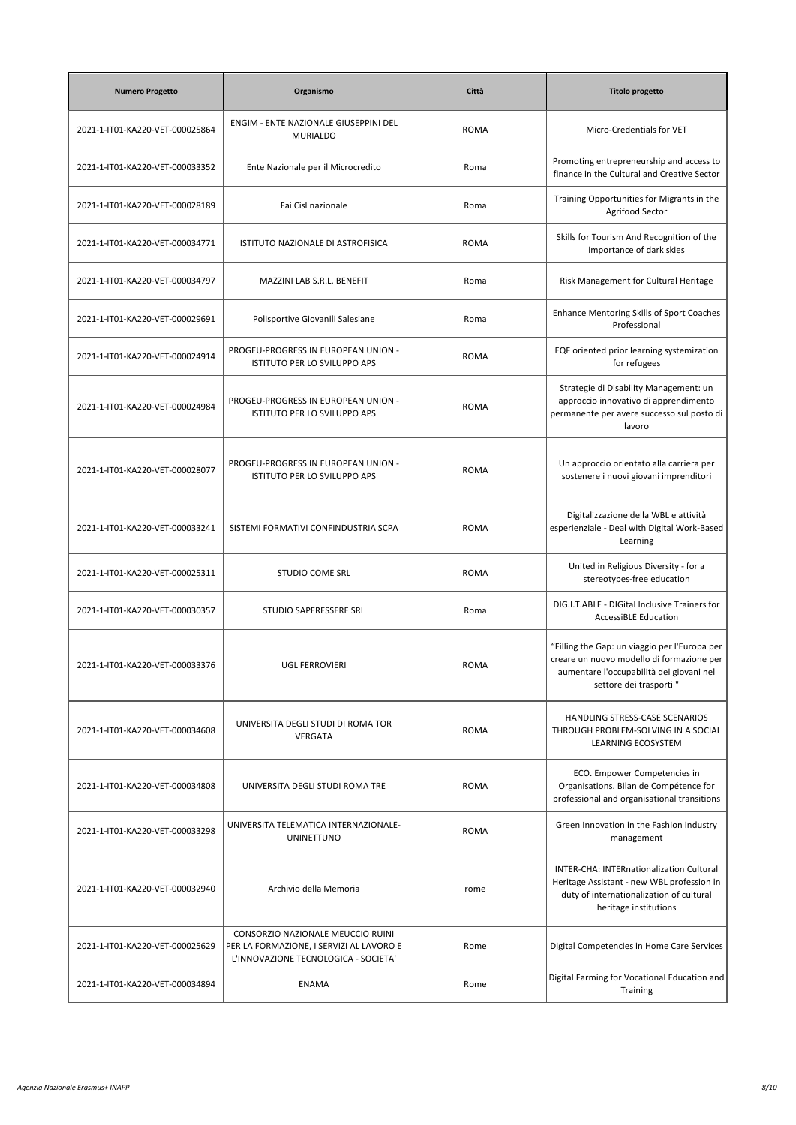| <b>Numero Progetto</b>          | Organismo                                                                                                             | Città       | <b>Titolo progetto</b>                                                                                                                                           |
|---------------------------------|-----------------------------------------------------------------------------------------------------------------------|-------------|------------------------------------------------------------------------------------------------------------------------------------------------------------------|
| 2021-1-IT01-KA220-VET-000025864 | ENGIM - ENTE NAZIONALE GIUSEPPINI DEL<br><b>MURIALDO</b>                                                              | <b>ROMA</b> | Micro-Credentials for VET                                                                                                                                        |
| 2021-1-IT01-KA220-VET-000033352 | Ente Nazionale per il Microcredito                                                                                    | Roma        | Promoting entrepreneurship and access to<br>finance in the Cultural and Creative Sector                                                                          |
| 2021-1-IT01-KA220-VET-000028189 | Fai Cisl nazionale                                                                                                    | Roma        | Training Opportunities for Migrants in the<br>Agrifood Sector                                                                                                    |
| 2021-1-IT01-KA220-VET-000034771 | ISTITUTO NAZIONALE DI ASTROFISICA                                                                                     | <b>ROMA</b> | Skills for Tourism And Recognition of the<br>importance of dark skies                                                                                            |
| 2021-1-IT01-KA220-VET-000034797 | MAZZINI LAB S.R.L. BENEFIT                                                                                            | Roma        | Risk Management for Cultural Heritage                                                                                                                            |
| 2021-1-IT01-KA220-VET-000029691 | Polisportive Giovanili Salesiane                                                                                      | Roma        | <b>Enhance Mentoring Skills of Sport Coaches</b><br>Professional                                                                                                 |
| 2021-1-IT01-KA220-VET-000024914 | PROGEU-PROGRESS IN EUROPEAN UNION -<br>ISTITUTO PER LO SVILUPPO APS                                                   | <b>ROMA</b> | EQF oriented prior learning systemization<br>for refugees                                                                                                        |
| 2021-1-IT01-KA220-VET-000024984 | PROGEU-PROGRESS IN EUROPEAN UNION -<br>ISTITUTO PER LO SVILUPPO APS                                                   | <b>ROMA</b> | Strategie di Disability Management: un<br>approccio innovativo di apprendimento<br>permanente per avere successo sul posto di<br>lavoro                          |
| 2021-1-IT01-KA220-VET-000028077 | PROGEU-PROGRESS IN EUROPEAN UNION -<br>ISTITUTO PER LO SVILUPPO APS                                                   | <b>ROMA</b> | Un approccio orientato alla carriera per<br>sostenere i nuovi giovani imprenditori                                                                               |
| 2021-1-IT01-KA220-VET-000033241 | SISTEMI FORMATIVI CONFINDUSTRIA SCPA                                                                                  | <b>ROMA</b> | Digitalizzazione della WBL e attività<br>esperienziale - Deal with Digital Work-Based<br>Learning                                                                |
| 2021-1-IT01-KA220-VET-000025311 | <b>STUDIO COME SRL</b>                                                                                                | <b>ROMA</b> | United in Religious Diversity - for a<br>stereotypes-free education                                                                                              |
| 2021-1-IT01-KA220-VET-000030357 | STUDIO SAPERESSERE SRL                                                                                                | Roma        | DIG.I.T.ABLE - DIGital Inclusive Trainers for<br><b>AccessiBLE Education</b>                                                                                     |
| 2021-1-IT01-KA220-VET-000033376 | <b>UGL FERROVIERI</b>                                                                                                 | <b>ROMA</b> | "Filling the Gap: un viaggio per l'Europa per<br>creare un nuovo modello di formazione per<br>aumentare l'occupabilità dei giovani nel<br>settore dei trasporti" |
| 2021-1-IT01-KA220-VET-000034608 | UNIVERSITA DEGLI STUDI DI ROMA TOR<br>VERGATA                                                                         | <b>ROMA</b> | HANDLING STRESS-CASE SCENARIOS<br>THROUGH PROBLEM-SOLVING IN A SOCIAL<br>LEARNING ECOSYSTEM                                                                      |
| 2021-1-IT01-KA220-VET-000034808 | UNIVERSITA DEGLI STUDI ROMA TRE                                                                                       | <b>ROMA</b> | ECO. Empower Competencies in<br>Organisations. Bilan de Compétence for<br>professional and organisational transitions                                            |
| 2021-1-IT01-KA220-VET-000033298 | UNIVERSITA TELEMATICA INTERNAZIONALE-<br><b>UNINETTUNO</b>                                                            | <b>ROMA</b> | Green Innovation in the Fashion industry<br>management                                                                                                           |
| 2021-1-IT01-KA220-VET-000032940 | Archivio della Memoria                                                                                                | rome        | INTER-CHA: INTERnationalization Cultural<br>Heritage Assistant - new WBL profession in<br>duty of internationalization of cultural<br>heritage institutions      |
| 2021-1-IT01-KA220-VET-000025629 | CONSORZIO NAZIONALE MEUCCIO RUINI<br>PER LA FORMAZIONE, I SERVIZI AL LAVORO E<br>L'INNOVAZIONE TECNOLOGICA - SOCIETA' | Rome        | Digital Competencies in Home Care Services                                                                                                                       |
| 2021-1-IT01-KA220-VET-000034894 | ENAMA                                                                                                                 | Rome        | Digital Farming for Vocational Education and<br>Training                                                                                                         |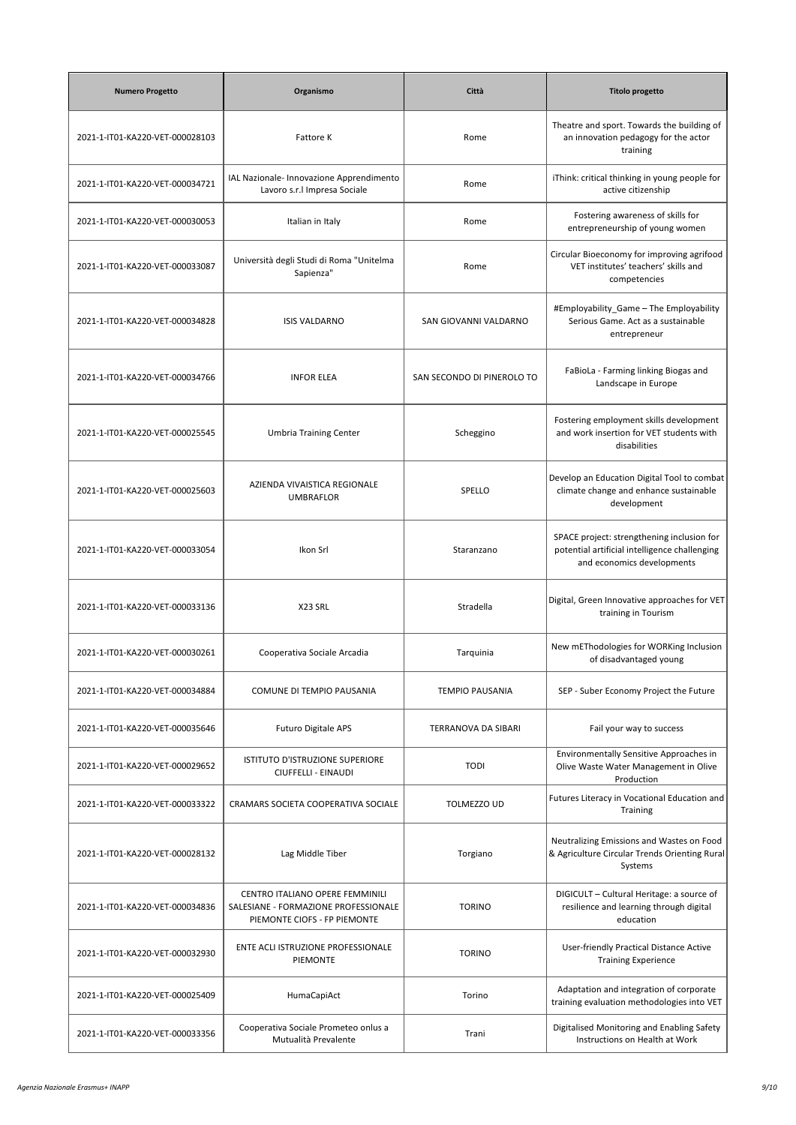| <b>Numero Progetto</b>          | Organismo                                                                                               | Città                      | <b>Titolo progetto</b>                                                                                                    |
|---------------------------------|---------------------------------------------------------------------------------------------------------|----------------------------|---------------------------------------------------------------------------------------------------------------------------|
| 2021-1-IT01-KA220-VET-000028103 | Fattore K                                                                                               | Rome                       | Theatre and sport. Towards the building of<br>an innovation pedagogy for the actor<br>training                            |
| 2021-1-IT01-KA220-VET-000034721 | IAL Nazionale- Innovazione Apprendimento<br>Lavoro s.r.l Impresa Sociale                                | Rome                       | iThink: critical thinking in young people for<br>active citizenship                                                       |
| 2021-1-IT01-KA220-VET-000030053 | Italian in Italy                                                                                        | Rome                       | Fostering awareness of skills for<br>entrepreneurship of young women                                                      |
| 2021-1-IT01-KA220-VET-000033087 | Università degli Studi di Roma "Unitelma<br>Sapienza"                                                   | Rome                       | Circular Bioeconomy for improving agrifood<br>VET institutes' teachers' skills and<br>competencies                        |
| 2021-1-IT01-KA220-VET-000034828 | <b>ISIS VALDARNO</b>                                                                                    | SAN GIOVANNI VALDARNO      | #Employability_Game - The Employability<br>Serious Game. Act as a sustainable<br>entrepreneur                             |
| 2021-1-IT01-KA220-VET-000034766 | <b>INFOR ELEA</b>                                                                                       | SAN SECONDO DI PINEROLO TO | FaBioLa - Farming linking Biogas and<br>Landscape in Europe                                                               |
| 2021-1-IT01-KA220-VET-000025545 | <b>Umbria Training Center</b>                                                                           | Scheggino                  | Fostering employment skills development<br>and work insertion for VET students with<br>disabilities                       |
| 2021-1-IT01-KA220-VET-000025603 | AZIENDA VIVAISTICA REGIONALE<br><b>UMBRAFLOR</b>                                                        | SPELLO                     | Develop an Education Digital Tool to combat<br>climate change and enhance sustainable<br>development                      |
| 2021-1-IT01-KA220-VET-000033054 | Ikon Srl                                                                                                | Staranzano                 | SPACE project: strengthening inclusion for<br>potential artificial intelligence challenging<br>and economics developments |
| 2021-1-IT01-KA220-VET-000033136 | X23 SRL                                                                                                 | Stradella                  | Digital, Green Innovative approaches for VET<br>training in Tourism                                                       |
| 2021-1-IT01-KA220-VET-000030261 | Cooperativa Sociale Arcadia                                                                             | Tarquinia                  | New mEThodologies for WORKing Inclusion<br>of disadvantaged young                                                         |
| 2021-1-IT01-KA220-VET-000034884 | COMUNE DI TEMPIO PAUSANIA                                                                               | <b>TEMPIO PAUSANIA</b>     | SEP - Suber Economy Project the Future                                                                                    |
| 2021-1-IT01-KA220-VET-000035646 | Futuro Digitale APS                                                                                     | TERRANOVA DA SIBARI        | Fail your way to success                                                                                                  |
| 2021-1-IT01-KA220-VET-000029652 | <b>ISTITUTO D'ISTRUZIONE SUPERIORE</b><br>CIUFFELLI - EINAUDI                                           | <b>TODI</b>                | Environmentally Sensitive Approaches in<br>Olive Waste Water Management in Olive<br>Production                            |
| 2021-1-IT01-KA220-VET-000033322 | CRAMARS SOCIETA COOPERATIVA SOCIALE                                                                     | TOLMEZZO UD                | Futures Literacy in Vocational Education and<br>Training                                                                  |
| 2021-1-IT01-KA220-VET-000028132 | Lag Middle Tiber                                                                                        | Torgiano                   | Neutralizing Emissions and Wastes on Food<br>& Agriculture Circular Trends Orienting Rural<br>Systems                     |
| 2021-1-IT01-KA220-VET-000034836 | CENTRO ITALIANO OPERE FEMMINILI<br>SALESIANE - FORMAZIONE PROFESSIONALE<br>PIEMONTE CIOFS - FP PIEMONTE | <b>TORINO</b>              | DIGICULT - Cultural Heritage: a source of<br>resilience and learning through digital<br>education                         |
| 2021-1-IT01-KA220-VET-000032930 | ENTE ACLI ISTRUZIONE PROFESSIONALE<br>PIEMONTE                                                          | <b>TORINO</b>              | User-friendly Practical Distance Active<br><b>Training Experience</b>                                                     |
| 2021-1-IT01-KA220-VET-000025409 | HumaCapiAct                                                                                             | Torino                     | Adaptation and integration of corporate<br>training evaluation methodologies into VET                                     |
| 2021-1-IT01-KA220-VET-000033356 | Cooperativa Sociale Prometeo onlus a<br>Mutualità Prevalente                                            | Trani                      | Digitalised Monitoring and Enabling Safety<br>Instructions on Health at Work                                              |